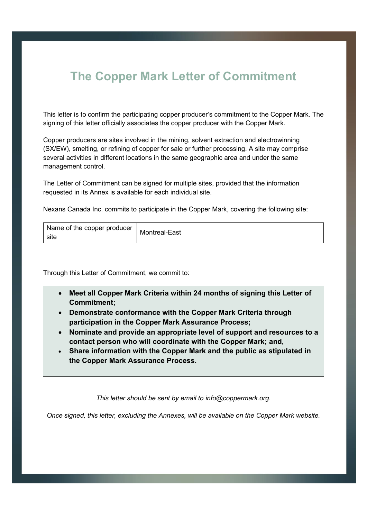## **The Copper Mark Letter of Commitment**

This letter is to confirm the participating copper producer's commitment to the Copper Mark. The signing of this letter officially associates the copper producer with the Copper Mark.

Copper producers are sites involved in the mining, solvent extraction and electrowinning (SX/EW), smelting, or refining of copper for sale or further processing. A site may comprise several activities in different locations in the same geographic area and under the same management control.

The Letter of Commitment can be signed for multiple sites, provided that the information requested in its Annex is available for each individual site.

Nexans Canada Inc. commits to participate in the Copper Mark, covering the following site:

| Name of the copper producer<br>site | Montreal-East |
|-------------------------------------|---------------|
|-------------------------------------|---------------|

Through this Letter of Commitment, we commit to:

- **Meet all Copper Mark Criteria within 24 months of signing this Letter of Commitment;**
- **Demonstrate conformance with the Copper Mark Criteria through participation in the Copper Mark Assurance Process;**
- **Nominate and provide an appropriate level of support and resources to a contact person who will coordinate with the Copper Mark; and,**
- **Share information with the Copper Mark and the public as stipulated in the Copper Mark Assurance Process.**

*This letter should be sent by email to info@coppermark.org.* 

*Once signed, this letter, excluding the Annexes, will be available on the Copper Mark website.*